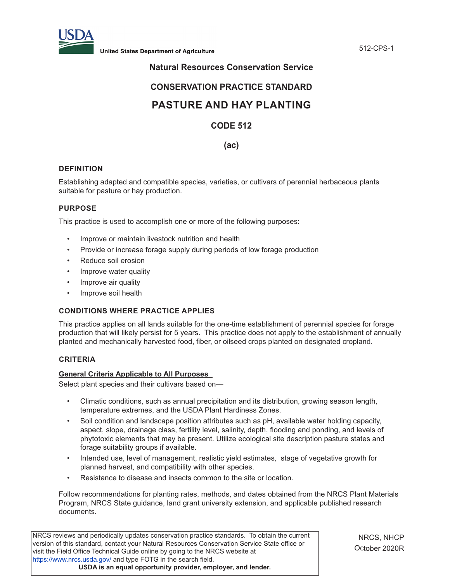

**United States Department of Agriculture** 612-CPS-1

# **Natural Resources Conservation Service**

# **CONSERVATION PRACTICE STANDARD**

# **PASTURE AND HAY PLANTING**

# **CODE 512**

**(ac)**

## **DEFINITION**

Establishing adapted and compatible species, varieties, or cultivars of perennial herbaceous plants suitable for pasture or hay production.

### **PURPOSE**

This practice is used to accomplish one or more of the following purposes:

- Improve or maintain livestock nutrition and health
- Provide or increase forage supply during periods of low forage production
- Reduce soil erosion
- Improve water quality
- Improve air quality
- Improve soil health

## **CONDITIONS WHERE PRACTICE APPLIES**

This practice applies on all lands suitable for the one-time establishment of perennial species for forage production that will likely persist for 5 years. This practice does not apply to the establishment of annually planted and mechanically harvested food, fiber, or oilseed crops planted on designated cropland.

## **CRITERIA**

#### **General Criteria Applicable to All Purposes**

Select plant species and their cultivars based on—

- Climatic conditions, such as annual precipitation and its distribution, growing season length, temperature extremes, and the USDA Plant Hardiness Zones.
- Soil condition and landscape position attributes such as pH, available water holding capacity, aspect, slope, drainage class, fertility level, salinity, depth, flooding and ponding, and levels of phytotoxic elements that may be present. Utilize ecological site description pasture states and forage suitability groups if available.
- Intended use, level of management, realistic yield estimates, stage of vegetative growth for planned harvest, and compatibility with other species.
- Resistance to disease and insects common to the site or location.

Follow recommendations for planting rates, methods, and dates obtained from the NRCS Plant Materials Program, NRCS State guidance, land grant university extension, and applicable published research documents.

NRCS reviews and periodically updates conservation practice standards. To obtain the current version of this standard, contact your Natural Resources Conservation Service State office or visit the Field Office Technical Guide online by going to the NRCS website at <https://www.nrcs.usda.gov/>and type FOTG in the search field. **USDA is an equal opportunity provider, employer, and lender.**

NRCS, NHCP October 2020R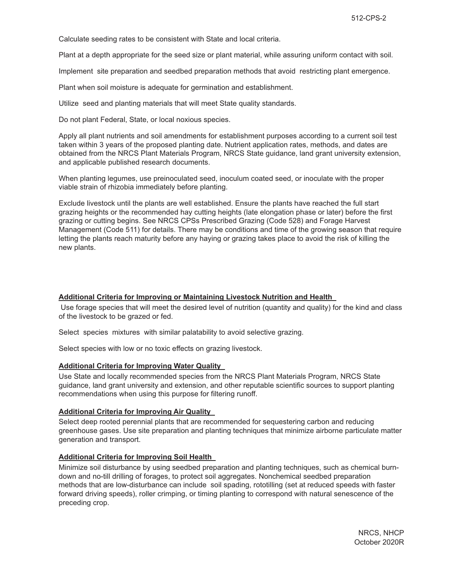Calculate seeding rates to be consistent with State and local criteria.

Plant at a depth appropriate for the seed size or plant material, while assuring uniform contact with soil.

Implement site preparation and seedbed preparation methods that avoid restricting plant emergence.

Plant when soil moisture is adequate for germination and establishment.

Utilize seed and planting materials that will meet State quality standards.

Do not plant Federal, State, or local noxious species.

Apply all plant nutrients and soil amendments for establishment purposes according to a current soil test taken within 3 years of the proposed planting date. Nutrient application rates, methods, and dates are obtained from the NRCS Plant Materials Program, NRCS State guidance, land grant university extension, and applicable published research documents.

When planting legumes, use preinoculated seed, inoculum coated seed, or inoculate with the proper viable strain of rhizobia immediately before planting.

Exclude livestock until the plants are well established. Ensure the plants have reached the full start grazing heights or the recommended hay cutting heights (late elongation phase or later) before the first grazing or cutting begins. See NRCS CPSs Prescribed Grazing (Code 528) and Forage Harvest Management (Code 511) for details. There may be conditions and time of the growing season that require letting the plants reach maturity before any haying or grazing takes place to avoid the risk of killing the new plants.

#### **Additional Criteria for Improving or Maintaining Livestock Nutrition and Health**

 Use forage species that will meet the desired level of nutrition (quantity and quality) for the kind and class of the livestock to be grazed or fed.

Select species mixtures with similar palatability to avoid selective grazing.

Select species with low or no toxic effects on grazing livestock.

#### **Additional Criteria for Improving Water Quality**

Use State and locally recommended species from the NRCS Plant Materials Program, NRCS State guidance, land grant university and extension, and other reputable scientific sources to support planting recommendations when using this purpose for filtering runoff.

#### **Additional Criteria for Improving Air Quality**

Select deep rooted perennial plants that are recommended for sequestering carbon and reducing greenhouse gases. Use site preparation and planting techniques that minimize airborne particulate matter generation and transport.

#### **Additional Criteria for Improving Soil Health**

Minimize soil disturbance by using seedbed preparation and planting techniques, such as chemical burndown and no-till drilling of forages, to protect soil aggregates. Nonchemical seedbed preparation methods that are low-disturbance can include soil spading, rototilling (set at reduced speeds with faster forward driving speeds), roller crimping, or timing planting to correspond with natural senescence of the preceding crop.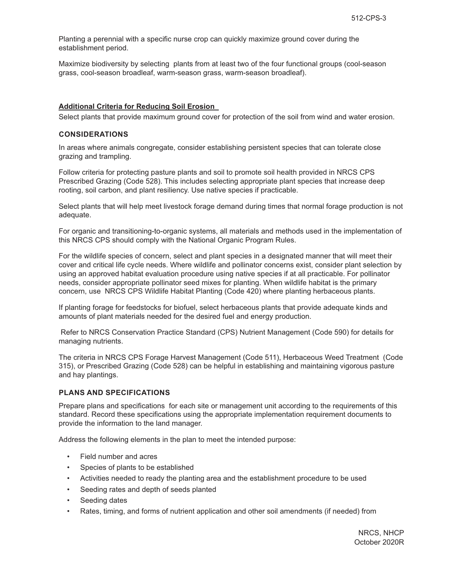Planting a perennial with a specific nurse crop can quickly maximize ground cover during the establishment period.

Maximize biodiversity by selecting plants from at least two of the four functional groups (cool-season grass, cool-season broadleaf, warm-season grass, warm-season broadleaf).

#### **Additional Criteria for Reducing Soil Erosion**

Select plants that provide maximum ground cover for protection of the soil from wind and water erosion.

#### **CONSIDERATIONS**

In areas where animals congregate, consider establishing persistent species that can tolerate close grazing and trampling.

Follow criteria for protecting pasture plants and soil to promote soil health provided in NRCS CPS Prescribed Grazing (Code 528). This includes selecting appropriate plant species that increase deep rooting, soil carbon, and plant resiliency. Use native species if practicable.

Select plants that will help meet livestock forage demand during times that normal forage production is not adequate.

For organic and transitioning-to-organic systems, all materials and methods used in the implementation of this NRCS CPS should comply with the National Organic Program Rules.

For the wildlife species of concern, select and plant species in a designated manner that will meet their cover and critical life cycle needs. Where wildlife and pollinator concerns exist, consider plant selection by using an approved habitat evaluation procedure using native species if at all practicable. For pollinator needs, consider appropriate pollinator seed mixes for planting. When wildlife habitat is the primary concern, use NRCS CPS Wildlife Habitat Planting (Code 420) where planting herbaceous plants.

If planting forage for feedstocks for biofuel, select herbaceous plants that provide adequate kinds and amounts of plant materials needed for the desired fuel and energy production.

 Refer to NRCS Conservation Practice Standard (CPS) Nutrient Management (Code 590) for details for managing nutrients.

The criteria in NRCS CPS Forage Harvest Management (Code 511), Herbaceous Weed Treatment (Code 315), or Prescribed Grazing (Code 528) can be helpful in establishing and maintaining vigorous pasture and hay plantings.

#### **PLANS AND SPECIFICATIONS**

Prepare plans and specifications for each site or management unit according to the requirements of this standard. Record these specifications using the appropriate implementation requirement documents to provide the information to the land manager.

Address the following elements in the plan to meet the intended purpose:

- Field number and acres
- Species of plants to be established
- Activities needed to ready the planting area and the establishment procedure to be used
- Seeding rates and depth of seeds planted
- Seeding dates
- Rates, timing, and forms of nutrient application and other soil amendments (if needed) from